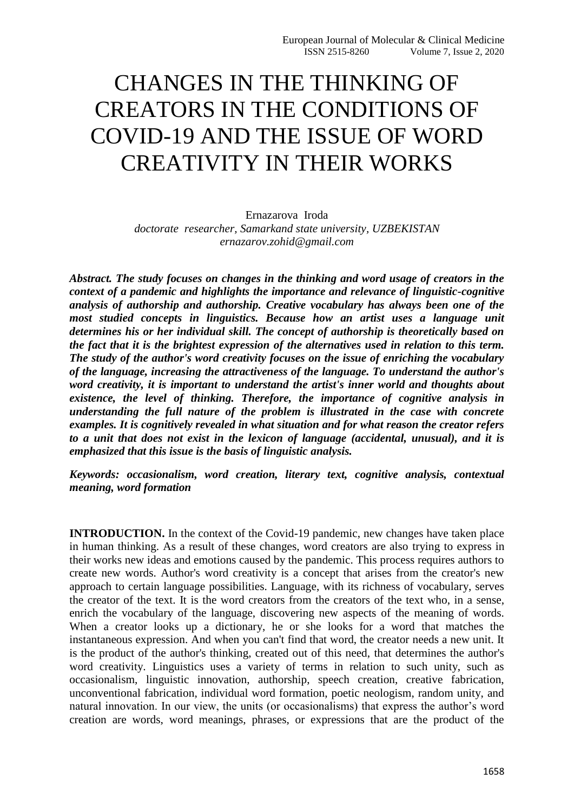## CHANGES IN THE THINKING OF CREATORS IN THE CONDITIONS OF COVID-19 AND THE ISSUE OF WORD CREATIVITY IN THEIR WORKS

Ernazarova Iroda *doctorate researcher, Samarkand state university, UZBEKISTAN ernazarov.zohid@gmail.com*

*Abstract. The study focuses on changes in the thinking and word usage of creators in the context of a pandemic and highlights the importance and relevance of linguistic-cognitive analysis of authorship and authorship. Creative vocabulary has always been one of the most studied concepts in linguistics. Because how an artist uses a language unit determines his or her individual skill. The concept of authorship is theoretically based on the fact that it is the brightest expression of the alternatives used in relation to this term. The study of the author's word creativity focuses on the issue of enriching the vocabulary of the language, increasing the attractiveness of the language. To understand the author's word creativity, it is important to understand the artist's inner world and thoughts about existence, the level of thinking. Therefore, the importance of cognitive analysis in understanding the full nature of the problem is illustrated in the case with concrete examples. It is cognitively revealed in what situation and for what reason the creator refers to a unit that does not exist in the lexicon of language (accidental, unusual), and it is emphasized that this issue is the basis of linguistic analysis.*

*Keywords: occasionalism, word creation, literary text, cognitive analysis, contextual meaning, word formation*

**INTRODUCTION.** In the context of the Covid-19 pandemic, new changes have taken place in human thinking. As a result of these changes, word creators are also trying to express in their works new ideas and emotions caused by the pandemic. This process requires authors to create new words. Author's word creativity is a concept that arises from the creator's new approach to certain language possibilities. Language, with its richness of vocabulary, serves the creator of the text. It is the word creators from the creators of the text who, in a sense, enrich the vocabulary of the language, discovering new aspects of the meaning of words. When a creator looks up a dictionary, he or she looks for a word that matches the instantaneous expression. And when you can't find that word, the creator needs a new unit. It is the product of the author's thinking, created out of this need, that determines the author's word creativity. Linguistics uses a variety of terms in relation to such unity, such as occasionalism, linguistic innovation, authorship, speech creation, creative fabrication, unconventional fabrication, individual word formation, poetic neologism, random unity, and natural innovation. In our view, the units (or occasionalisms) that express the author's word creation are words, word meanings, phrases, or expressions that are the product of the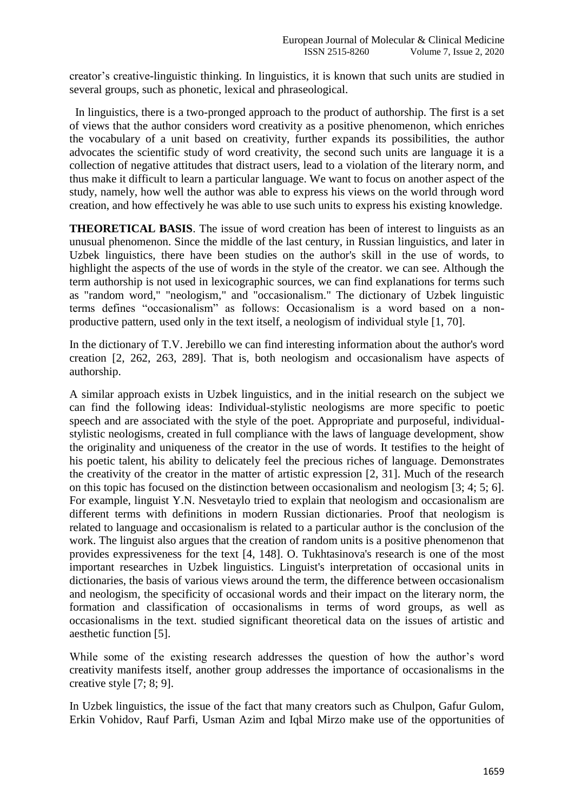creator's creative-linguistic thinking. In linguistics, it is known that such units are studied in several groups, such as phonetic, lexical and phraseological.

 In linguistics, there is a two-pronged approach to the product of authorship. The first is a set of views that the author considers word creativity as a positive phenomenon, which enriches the vocabulary of a unit based on creativity, further expands its possibilities, the author advocates the scientific study of word creativity, the second such units are language it is a collection of negative attitudes that distract users, lead to a violation of the literary norm, and thus make it difficult to learn a particular language. We want to focus on another aspect of the study, namely, how well the author was able to express his views on the world through word creation, and how effectively he was able to use such units to express his existing knowledge.

**THEORETICAL BASIS**. The issue of word creation has been of interest to linguists as an unusual phenomenon. Since the middle of the last century, in Russian linguistics, and later in Uzbek linguistics, there have been studies on the author's skill in the use of words, to highlight the aspects of the use of words in the style of the creator. we can see. Although the term authorship is not used in lexicographic sources, we can find explanations for terms such as "random word," "neologism," and "occasionalism." The dictionary of Uzbek linguistic terms defines "occasionalism" as follows: Occasionalism is a word based on a nonproductive pattern, used only in the text itself, a neologism of individual style [1, 70].

In the dictionary of T.V. Jerebillo we can find interesting information about the author's word creation [2, 262, 263, 289]. That is, both neologism and occasionalism have aspects of authorship.

A similar approach exists in Uzbek linguistics, and in the initial research on the subject we can find the following ideas: Individual-stylistic neologisms are more specific to poetic speech and are associated with the style of the poet. Appropriate and purposeful, individualstylistic neologisms, created in full compliance with the laws of language development, show the originality and uniqueness of the creator in the use of words. It testifies to the height of his poetic talent, his ability to delicately feel the precious riches of language. Demonstrates the creativity of the creator in the matter of artistic expression [2, 31]. Much of the research on this topic has focused on the distinction between occasionalism and neologism [3; 4; 5; 6]. For example, linguist Y.N. Nesvetaylo tried to explain that neologism and occasionalism are different terms with definitions in modern Russian dictionaries. Proof that neologism is related to language and occasionalism is related to a particular author is the conclusion of the work. The linguist also argues that the creation of random units is a positive phenomenon that provides expressiveness for the text [4, 148]. O. Tukhtasinova's research is one of the most important researches in Uzbek linguistics. Linguist's interpretation of occasional units in dictionaries, the basis of various views around the term, the difference between occasionalism and neologism, the specificity of occasional words and their impact on the literary norm, the formation and classification of occasionalisms in terms of word groups, as well as occasionalisms in the text. studied significant theoretical data on the issues of artistic and aesthetic function [5].

While some of the existing research addresses the question of how the author's word creativity manifests itself, another group addresses the importance of occasionalisms in the creative style [7; 8; 9].

In Uzbek linguistics, the issue of the fact that many creators such as Chulpon, Gafur Gulom, Erkin Vohidov, Rauf Parfi, Usman Azim and Iqbal Mirzo make use of the opportunities of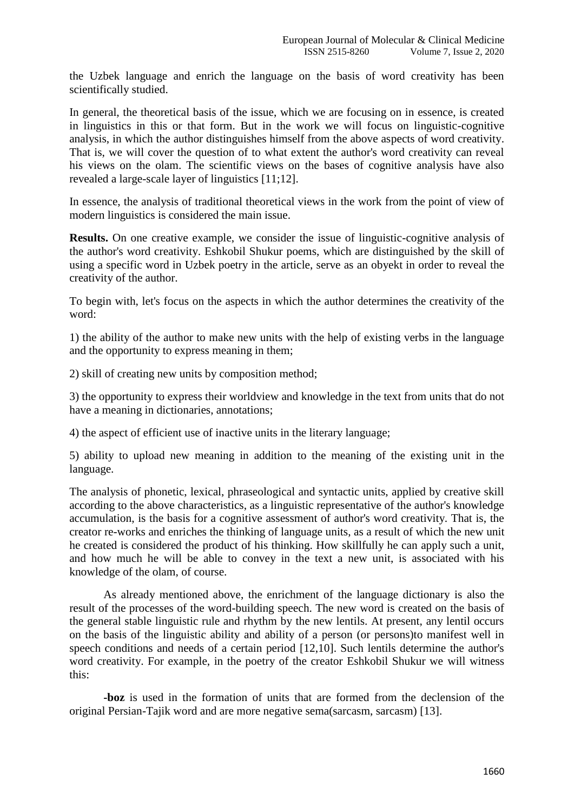the Uzbek language and enrich the language on the basis of word creativity has been scientifically studied.

In general, the theoretical basis of the issue, which we are focusing on in essence, is created in linguistics in this or that form. But in the work we will focus on linguistic-cognitive analysis, in which the author distinguishes himself from the above aspects of word creativity. That is, we will cover the question of to what extent the author's word creativity can reveal his views on the olam. The scientific views on the bases of cognitive analysis have also revealed a large-scale layer of linguistics [11;12].

In essence, the analysis of traditional theoretical views in the work from the point of view of modern linguistics is considered the main issue.

**Results.** On one creative example, we consider the issue of linguistic-cognitive analysis of the author's word creativity. Eshkobil Shukur poems, which are distinguished by the skill of using a specific word in Uzbek poetry in the article, serve as an obyekt in order to reveal the creativity of the author.

To begin with, let's focus on the aspects in which the author determines the creativity of the word:

1) the ability of the author to make new units with the help of existing verbs in the language and the opportunity to express meaning in them;

2) skill of creating new units by composition method;

3) the opportunity to express their worldview and knowledge in the text from units that do not have a meaning in dictionaries, annotations;

4) the aspect of efficient use of inactive units in the literary language;

5) ability to upload new meaning in addition to the meaning of the existing unit in the language.

The analysis of phonetic, lexical, phraseological and syntactic units, applied by creative skill according to the above characteristics, as a linguistic representative of the author's knowledge accumulation, is the basis for a cognitive assessment of author's word creativity. That is, the creator re-works and enriches the thinking of language units, as a result of which the new unit he created is considered the product of his thinking. How skillfully he can apply such a unit, and how much he will be able to convey in the text a new unit, is associated with his knowledge of the olam, of course.

As already mentioned above, the enrichment of the language dictionary is also the result of the processes of the word-building speech. The new word is created on the basis of the general stable linguistic rule and rhythm by the new lentils. At present, any lentil occurs on the basis of the linguistic ability and ability of a person (or persons)to manifest well in speech conditions and needs of a certain period [12,10]. Such lentils determine the author's word creativity. For example, in the poetry of the creator Eshkobil Shukur we will witness this:

**-boz** is used in the formation of units that are formed from the declension of the original Persian-Tajik word and are more negative sema(sarcasm, sarcasm) [13].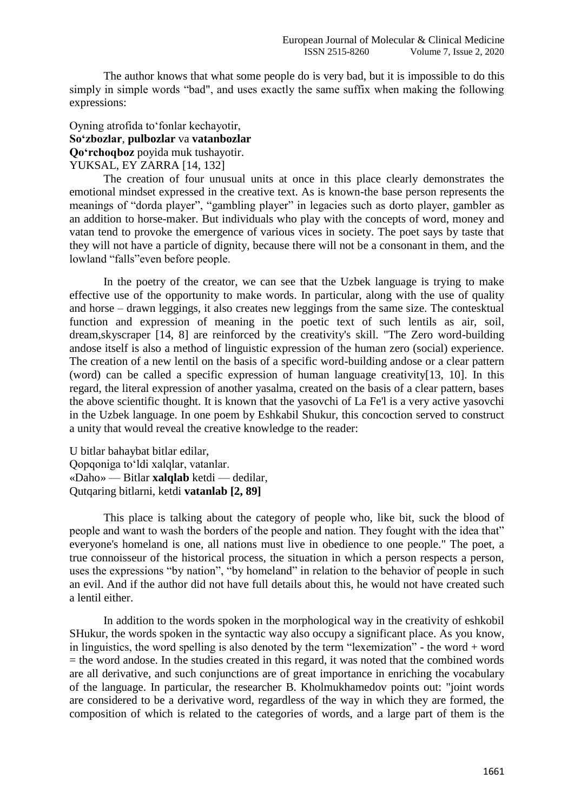The author knows that what some people do is very bad, but it is impossible to do this simply in simple words "bad", and uses exactly the same suffix when making the following expressions:

## Oyning atrofida to fonlar kechayotir, **So'zbozlar**, **pulbozlar** va **vatanbozlar Qo'rchoqboz** poyida muk tushayotir. YUKSAL, EY ZARRA [14, 132]

The creation of four unusual units at once in this place clearly demonstrates the emotional mindset expressed in the creative text. As is known-the base person represents the meanings of "dorda player", "gambling player" in legacies such as dorto player, gambler as an addition to horse-maker. But individuals who play with the concepts of word, money and vatan tend to provoke the emergence of various vices in society. The poet says by taste that they will not have a particle of dignity, because there will not be a consonant in them, and the lowland "falls" even before people.

In the poetry of the creator, we can see that the Uzbek language is trying to make effective use of the opportunity to make words. In particular, along with the use of quality and horse – drawn leggings, it also creates new leggings from the same size. The contesktual function and expression of meaning in the poetic text of such lentils as air, soil, dream,skyscraper [14, 8] are reinforced by the creativity's skill. "The Zero word-building andose itself is also a method of linguistic expression of the human zero (social) experience. The creation of a new lentil on the basis of a specific word-building andose or a clear pattern (word) can be called a specific expression of human language creativity[13, 10]. In this regard, the literal expression of another yasalma, created on the basis of a clear pattern, bases the above scientific thought. It is known that the yasovchi of La Fe'l is a very active yasovchi in the Uzbek language. In one poem by Eshkabil Shukur, this concoction served to construct a unity that would reveal the creative knowledge to the reader:

U bitlar bahaybat bitlar edilar, Qopqoniga to‗ldi xalqlar, vatanlar. «Daho» — Bitlar **xalqlab** ketdi — dedilar, Qutqaring bitlarni, ketdi **vatanlab [2, 89]**

This place is talking about the category of people who, like bit, suck the blood of people and want to wash the borders of the people and nation. They fought with the idea that" everyone's homeland is one, all nations must live in obedience to one people." The poet, a true connoisseur of the historical process, the situation in which a person respects a person, uses the expressions "by nation", "by homeland" in relation to the behavior of people in such an evil. And if the author did not have full details about this, he would not have created such a lentil either.

In addition to the words spoken in the morphological way in the creativity of eshkobil SHukur, the words spoken in the syntactic way also occupy a significant place. As you know, in linguistics, the word spelling is also denoted by the term "lexemization" - the word + word  $=$  the word andose. In the studies created in this regard, it was noted that the combined words are all derivative, and such conjunctions are of great importance in enriching the vocabulary of the language. In particular, the researcher B. Kholmukhamedov points out: "joint words are considered to be a derivative word, regardless of the way in which they are formed, the composition of which is related to the categories of words, and a large part of them is the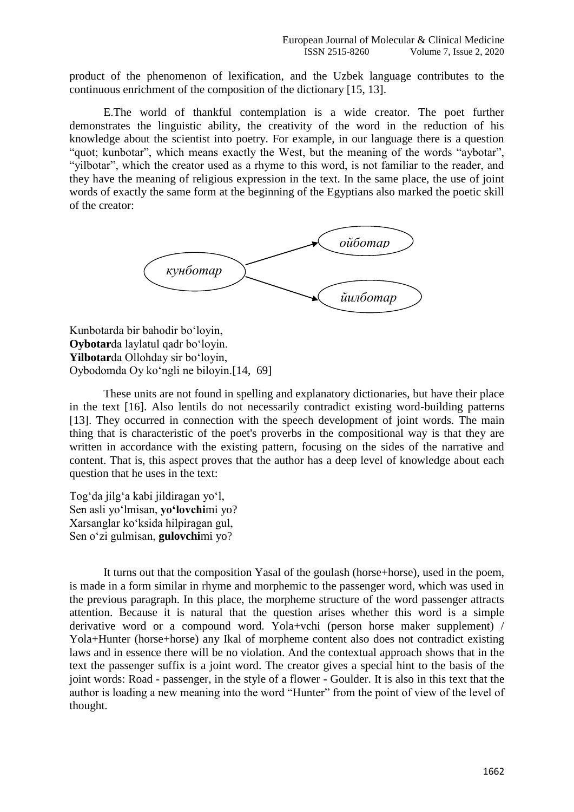product of the phenomenon of lexification, and the Uzbek language contributes to the continuous enrichment of the composition of the dictionary [15, 13].

E.The world of thankful contemplation is a wide creator. The poet further demonstrates the linguistic ability, the creativity of the word in the reduction of his knowledge about the scientist into poetry. For example, in our language there is a question "quot; kunbotar", which means exactly the West, but the meaning of the words "aybotar", "vilbotar", which the creator used as a rhyme to this word, is not familiar to the reader, and they have the meaning of religious expression in the text. In the same place, the use of joint words of exactly the same form at the beginning of the Egyptians also marked the poetic skill of the creator:



Kunbotarda bir bahodir bo‗loyin, **Oybotar**da laylatul qadr bo‗loyin. Yilbotarda Ollohday sir boʻloyin, Oybodomda Oy ko‗ngli ne biloyin.[14, 69]

These units are not found in spelling and explanatory dictionaries, but have their place in the text [16]. Also lentils do not necessarily contradict existing word-building patterns [13]. They occurred in connection with the speech development of joint words. The main thing that is characteristic of the poet's proverbs in the compositional way is that they are written in accordance with the existing pattern, focusing on the sides of the narrative and content. That is, this aspect proves that the author has a deep level of knowledge about each question that he uses in the text:

Tog‗da jilg‗a kabi jildiragan yo‗l, Sen asli yoʻlmisan, **yoʻlovchi**mi yo? Xarsanglar ko‗ksida hilpiragan gul, Sen o'zi gulmisan, **gulovchi**mi yo?

It turns out that the composition Yasal of the goulash (horse+horse), used in the poem, is made in a form similar in rhyme and morphemic to the passenger word, which was used in the previous paragraph. In this place, the morpheme structure of the word passenger attracts attention. Because it is natural that the question arises whether this word is a simple derivative word or a compound word. Yola+vchi (person horse maker supplement) / Yola+Hunter (horse+horse) any Ikal of morpheme content also does not contradict existing laws and in essence there will be no violation. And the contextual approach shows that in the text the passenger suffix is a joint word. The creator gives a special hint to the basis of the joint words: Road - passenger, in the style of a flower - Goulder. It is also in this text that the author is loading a new meaning into the word "Hunter" from the point of view of the level of thought.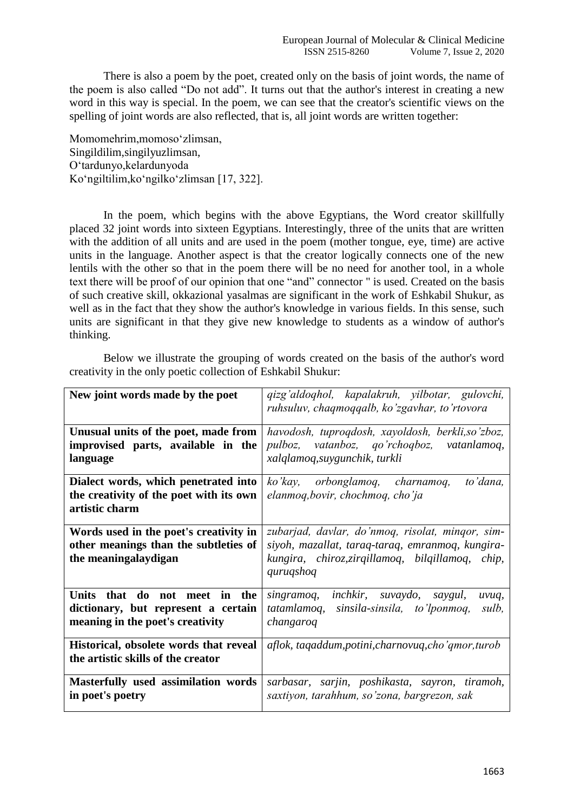There is also a poem by the poet, created only on the basis of joint words, the name of the poem is also called "Do not add". It turns out that the author's interest in creating a new word in this way is special. In the poem, we can see that the creator's scientific views on the spelling of joint words are also reflected, that is, all joint words are written together:

Momomehrim,momoso‗zlimsan, Singildilim,singilyuzlimsan, O‗tardunyo,kelardunyoda Koʻngiltilim, koʻngilkoʻzlimsan [17, 322].

In the poem, which begins with the above Egyptians, the Word creator skillfully placed 32 joint words into sixteen Egyptians. Interestingly, three of the units that are written with the addition of all units and are used in the poem (mother tongue, eye, time) are active units in the language. Another aspect is that the creator logically connects one of the new lentils with the other so that in the poem there will be no need for another tool, in a whole text there will be proof of our opinion that one "and" connector " is used. Created on the basis of such creative skill, okkazional yasalmas are significant in the work of Eshkabil Shukur, as well as in the fact that they show the author's knowledge in various fields. In this sense, such units are significant in that they give new knowledge to students as a window of author's thinking.

Below we illustrate the grouping of words created on the basis of the author's word creativity in the only poetic collection of Eshkabil Shukur:

| New joint words made by the poet                                                                         | qizg'aldoqhol, kapalakruh, yilbotar, gulovchi,<br>ruhsuluv, chaqmoqqalb, ko'zgavhar, to'rtovora                                                                       |
|----------------------------------------------------------------------------------------------------------|-----------------------------------------------------------------------------------------------------------------------------------------------------------------------|
| Unusual units of the poet, made from<br>improvised parts, available in the<br>language                   | havodosh, tuproqdosh, xayoldosh, berkli, so'zboz,<br>pulboz, vatanboz, qo'rchoqboz, vatanlamoq,<br>xalqlamoq, suygunchik, turkli                                      |
| Dialect words, which penetrated into<br>the creativity of the poet with its own<br>artistic charm        | ko'kay, orbonglamoq, charnamoq,<br>to'dana,<br>elanmoq, bovir, chochmoq, cho'ja                                                                                       |
| Words used in the poet's creativity in<br>other meanings than the subtleties of<br>the meaningalay digan | zubarjad, davlar, do'nmoq, risolat, mingor, sim-<br>siyoh, mazallat, taraq-taraq, emranmoq, kungira-<br>kungira, chiroz, zirqillamoq, bilqillamoq, chip,<br>quruqshoq |
| Units that do not meet in the<br>dictionary, but represent a certain<br>meaning in the poet's creativity | singramoq, inchkir, suvaydo, saygul,<br>uvuq,<br>tatamlamoq, sinsila-sinsila, to'lponmoq,<br>sulb,<br>changaroq                                                       |
| Historical, obsolete words that reveal<br>the artistic skills of the creator                             | aflok, tagaddum, potini, charnovuq, cho'qmor, turob                                                                                                                   |
| Masterfully used assimilation words<br>in poet's poetry                                                  | sarbasar, sarjin, poshikasta, sayron, tiramoh,<br>saxtiyon, tarahhum, so'zona, bargrezon, sak                                                                         |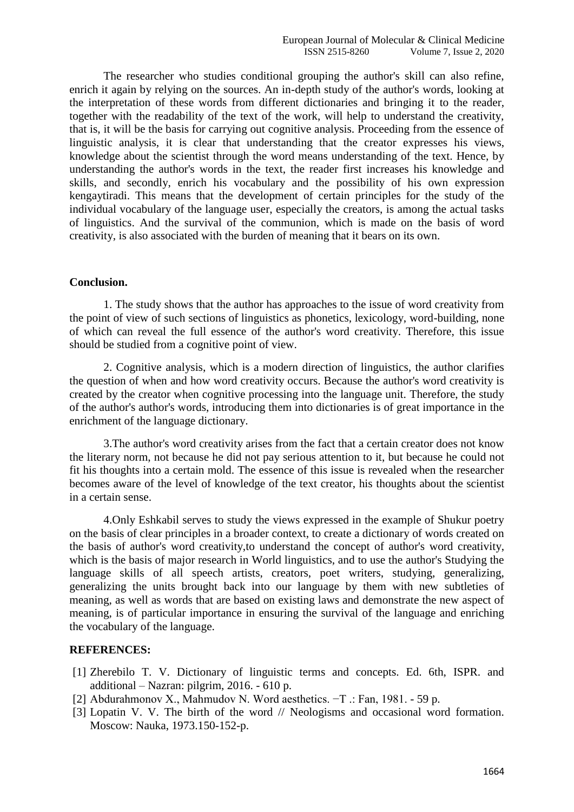The researcher who studies conditional grouping the author's skill can also refine, enrich it again by relying on the sources. An in-depth study of the author's words, looking at the interpretation of these words from different dictionaries and bringing it to the reader, together with the readability of the text of the work, will help to understand the creativity, that is, it will be the basis for carrying out cognitive analysis. Proceeding from the essence of linguistic analysis, it is clear that understanding that the creator expresses his views, knowledge about the scientist through the word means understanding of the text. Hence, by understanding the author's words in the text, the reader first increases his knowledge and skills, and secondly, enrich his vocabulary and the possibility of his own expression kengaytiradi. This means that the development of certain principles for the study of the individual vocabulary of the language user, especially the creators, is among the actual tasks of linguistics. And the survival of the communion, which is made on the basis of word creativity, is also associated with the burden of meaning that it bears on its own.

## **Conclusion.**

1. The study shows that the author has approaches to the issue of word creativity from the point of view of such sections of linguistics as phonetics, lexicology, word-building, none of which can reveal the full essence of the author's word creativity. Therefore, this issue should be studied from a cognitive point of view.

2. Cognitive analysis, which is a modern direction of linguistics, the author clarifies the question of when and how word creativity occurs. Because the author's word creativity is created by the creator when cognitive processing into the language unit. Therefore, the study of the author's author's words, introducing them into dictionaries is of great importance in the enrichment of the language dictionary.

3.The author's word creativity arises from the fact that a certain creator does not know the literary norm, not because he did not pay serious attention to it, but because he could not fit his thoughts into a certain mold. The essence of this issue is revealed when the researcher becomes aware of the level of knowledge of the text creator, his thoughts about the scientist in a certain sense.

4.Only Eshkabil serves to study the views expressed in the example of Shukur poetry on the basis of clear principles in a broader context, to create a dictionary of words created on the basis of author's word creativity,to understand the concept of author's word creativity, which is the basis of major research in World linguistics, and to use the author's Studying the language skills of all speech artists, creators, poet writers, studying, generalizing, generalizing the units brought back into our language by them with new subtleties of meaning, as well as words that are based on existing laws and demonstrate the new aspect of meaning, is of particular importance in ensuring the survival of the language and enriching the vocabulary of the language.

## **REFERENCES:**

- [1] Zherebilo T. V. Dictionary of linguistic terms and concepts. Ed. 6th, ISPR. and additional – Nazran: pilgrim, 2016. - 610 p.
- [2] Abdurahmonov X., Mahmudov N. Word aesthetics. −T .: Fan, 1981. 59 p.
- [3] Lopatin V. V. The birth of the word // Neologisms and occasional word formation. Moscow: Nauka, 1973.150-152-p.